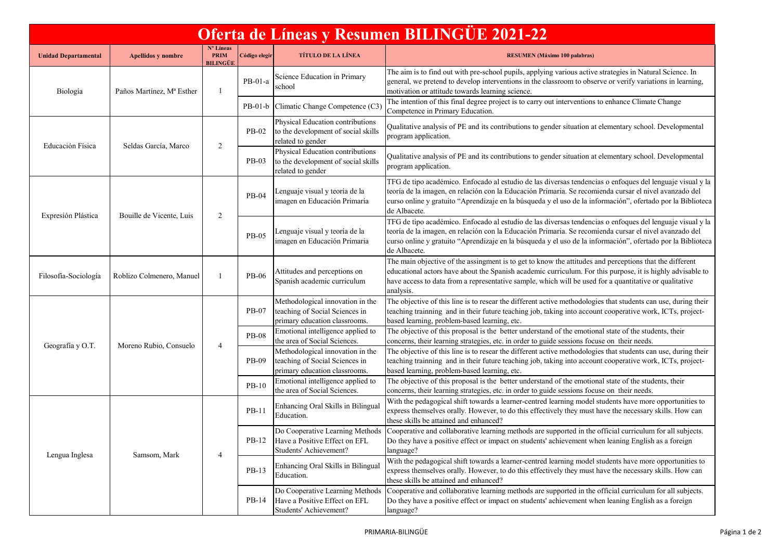| Oferta de Líneas y Resumen BILINGÜE 2021-22 |                           |                                      |               |                                                                                                     |                                                                                                                                                                                                                                                                                                                                                    |  |  |  |  |
|---------------------------------------------|---------------------------|--------------------------------------|---------------|-----------------------------------------------------------------------------------------------------|----------------------------------------------------------------------------------------------------------------------------------------------------------------------------------------------------------------------------------------------------------------------------------------------------------------------------------------------------|--|--|--|--|
| <b>Unidad Departamental</b>                 | <b>Apellidos y nombre</b> | Nº Líneas<br><b>PRIM</b><br>BILINGÜE | Código elegir | <b>TÍTULO DE LA LÍNEA</b>                                                                           | <b>RESUMEN</b> (Máximo 100 palabras)                                                                                                                                                                                                                                                                                                               |  |  |  |  |
| Biología                                    | Paños Martínez, Mª Esther |                                      | $PB-01-a$     | Science Education in Primary<br>school                                                              | The aim is to find out with pre-school pupils, applying various active strategies in Natural Science. In<br>general, we pretend to develop interventions in the classroom to observe or verify variations in learning,<br>motivation or attitude towards learning science.                                                                         |  |  |  |  |
|                                             |                           |                                      | $PB-01-b$     | Climatic Change Competence (C3)                                                                     | The intention of this final degree project is to carry out interventions to enhance Climate Change<br>Competence in Primary Education.                                                                                                                                                                                                             |  |  |  |  |
| Educación Física                            | Seldas García, Marco      | 2                                    | PB-02         | Physical Education contributions<br>to the development of social skills<br>related to gender        | Qualitative analysis of PE and its contributions to gender situation at elementary school. Developmental<br>program application.                                                                                                                                                                                                                   |  |  |  |  |
|                                             |                           |                                      | PB-03         | Physical Education contributions<br>to the development of social skills<br>related to gender        | Qualitative analysis of PE and its contributions to gender situation at elementary school. Developmental<br>program application.                                                                                                                                                                                                                   |  |  |  |  |
| Expresión Plástica                          | Bouille de Vicente, Luis  | 2                                    | PB-04         | Lenguaje visual y teoría de la<br>imagen en Educación Primaria                                      | TFG de tipo académico. Enfocado al estudio de las diversas tendencias o enfoques del lenguaje visual y la<br>teoría de la imagen, en relación con la Educación Primaria. Se recomienda cursar el nivel avanzado del<br>curso online y gratuito "Aprendizaje en la búsqueda y el uso de la información", ofertado por la Biblioteca<br>de Albacete. |  |  |  |  |
|                                             |                           |                                      | PB-05         | Lenguaje visual y teoría de la<br>imagen en Educación Primaria                                      | TFG de tipo académico. Enfocado al estudio de las diversas tendencias o enfoques del lenguaje visual y la<br>teoría de la imagen, en relación con la Educación Primaria. Se recomienda cursar el nivel avanzado del<br>curso online y gratuito "Aprendizaje en la búsqueda y el uso de la información", ofertado por la Biblioteca<br>de Albacete. |  |  |  |  |
| Filosofía-Sociología                        | Roblizo Colmenero, Manuel | -1                                   | <b>PB-06</b>  | Attitudes and perceptions on<br>Spanish academic curriculum                                         | The main objective of the assingment is to get to know the attitudes and perceptions that the different<br>educational actors have about the Spanish academic curriculum. For this purpose, it is highly advisable to<br>have access to data from a representative sample, which will be used for a quantitative or qualitative<br>analysis.       |  |  |  |  |
| Geografía y O.T.                            | Moreno Rubio, Consuelo    | $\overline{4}$                       | PB-07         | Methodological innovation in the<br>teaching of Social Sciences in<br>primary education classrooms. | The objective of this line is to resear the different active methodologies that students can use, during their<br>teaching trainning and in their future teaching job, taking into account cooperative work, ICTs, project-<br>based learning, problem-based learning, etc.                                                                        |  |  |  |  |
|                                             |                           |                                      | <b>PB-08</b>  | Emotional intelligence applied to<br>the area of Social Sciences.                                   | The objective of this proposal is the better understand of the emotional state of the students, their<br>concerns, their learning strategies, etc. in order to guide sessions focuse on their needs.                                                                                                                                               |  |  |  |  |
|                                             |                           |                                      | PB-09         | Methodological innovation in the<br>teaching of Social Sciences in<br>primary education classrooms. | The objective of this line is to resear the different active methodologies that students can use, during their<br>teaching trainning and in their future teaching job, taking into account cooperative work, ICTs, project-<br>based learning, problem-based learning, etc.                                                                        |  |  |  |  |
|                                             |                           |                                      | $PB-10$       | Emotional intelligence applied to<br>the area of Social Sciences.                                   | The objective of this proposal is the better understand of the emotional state of the students, their<br>concerns, their learning strategies, etc. in order to guide sessions focuse on their needs.                                                                                                                                               |  |  |  |  |
| Lengua Inglesa                              | Samsom, Mark              | $\overline{4}$                       | PB-11         | Enhancing Oral Skills in Bilingua<br>Education.                                                     | With the pedagogical shift towards a learner-centred learning model students have more opportunities to<br>express themselves orally. However, to do this effectively they must have the necessary skills. How can<br>these skills be attained and enhanced?                                                                                       |  |  |  |  |
|                                             |                           |                                      |               | Do Cooperative Learning Methods<br>PB-12 Have a Positive Effect on EFL<br>Students' Achievement?    | Cooperative and collaborative learning methods are supported in the official curriculum for all subjects.<br>Do they have a positive effect or impact on students' achievement when leaning English as a foreign<br>language?                                                                                                                      |  |  |  |  |
|                                             |                           |                                      | PB-13         | Enhancing Oral Skills in Bilingual<br>Education.                                                    | With the pedagogical shift towards a learner-centred learning model students have more opportunities to<br>express themselves orally. However, to do this effectively they must have the necessary skills. How can<br>these skills be attained and enhanced?                                                                                       |  |  |  |  |
|                                             |                           |                                      | PB-14         | Do Cooperative Learning Methods<br>Have a Positive Effect on EFL<br>Students' Achievement?          | Cooperative and collaborative learning methods are supported in the official curriculum for all subjects.<br>Do they have a positive effect or impact on students' achievement when leaning English as a foreign<br>language?                                                                                                                      |  |  |  |  |